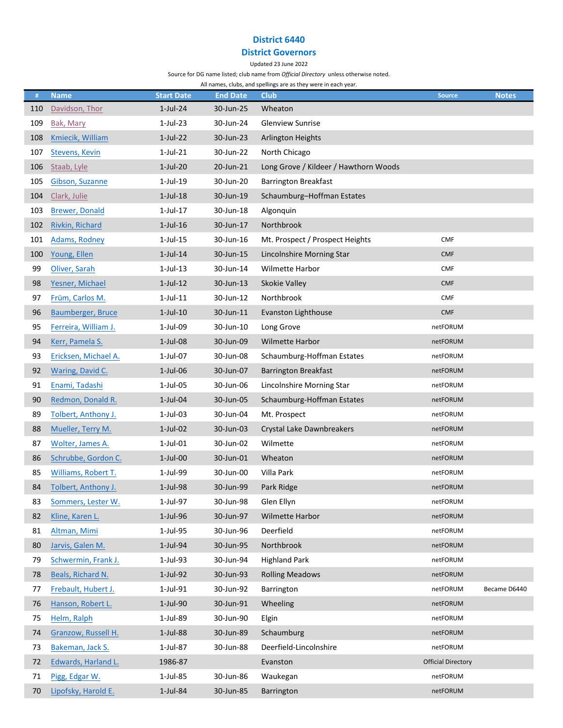## District 6440

# District Governors

#### Updated 23 June 2022

Source for DG name listed; club name from Official Directory unless otherwise noted.

All names, clubs, and spellings are as they were in each year.

| $\#$ | <b>Name</b>              | <b>Start Date</b> | <b>End Date</b> | <b>Club</b>                           | <b>Source</b>             | <b>Notes</b> |
|------|--------------------------|-------------------|-----------------|---------------------------------------|---------------------------|--------------|
| 110  | Davidson, Thor           | $1$ -Jul-24       | 30-Jun-25       | Wheaton                               |                           |              |
| 109  | Bak, Mary                | $1-Jul-23$        | 30-Jun-24       | <b>Glenview Sunrise</b>               |                           |              |
| 108  | <b>Kmiecik, William</b>  | $1$ -Jul-22       | 30-Jun-23       | <b>Arlington Heights</b>              |                           |              |
| 107  | <b>Stevens, Kevin</b>    | $1$ -Jul-21       | 30-Jun-22       | North Chicago                         |                           |              |
| 106  | Staab, Lyle              | 1-Jul-20          | 20-Jun-21       | Long Grove / Kildeer / Hawthorn Woods |                           |              |
| 105  | Gibson, Suzanne          | $1-Jul-19$        | 30-Jun-20       | <b>Barrington Breakfast</b>           |                           |              |
| 104  | Clark, Julie             | $1$ -Jul- $18$    | 30-Jun-19       | Schaumburg-Hoffman Estates            |                           |              |
| 103  | <b>Brewer, Donald</b>    | $1$ -Jul- $17$    | 30-Jun-18       | Algonquin                             |                           |              |
| 102  | Rivkin, Richard          | $1$ -Jul- $16$    | 30-Jun-17       | Northbrook                            |                           |              |
| 101  | <b>Adams, Rodney</b>     | $1$ -Jul- $15$    | 30-Jun-16       | Mt. Prospect / Prospect Heights       | <b>CMF</b>                |              |
| 100  | Young, Ellen             | $1$ -Jul- $14$    | 30-Jun-15       | Lincolnshire Morning Star             | <b>CMF</b>                |              |
| 99   | Oliver, Sarah            | $1$ -Jul-13       | 30-Jun-14       | Wilmette Harbor                       | <b>CMF</b>                |              |
| 98   | Yesner, Michael          | $1$ -Jul- $12$    | 30-Jun-13       | Skokie Valley                         | <b>CMF</b>                |              |
| 97   | Früm, Carlos M.          | $1$ -Jul- $11$    | 30-Jun-12       | Northbrook                            | <b>CMF</b>                |              |
| 96   | <b>Baumberger, Bruce</b> | $1$ -Jul- $10$    | 30-Jun-11       | Evanston Lighthouse                   | <b>CMF</b>                |              |
| 95   | Ferreira, William J.     | $1-Jul-09$        | 30-Jun-10       | Long Grove                            | netFORUM                  |              |
| 94   | Kerr, Pamela S.          | $1$ -Jul-08       | 30-Jun-09       | Wilmette Harbor                       | netFORUM                  |              |
| 93   | Ericksen, Michael A.     | 1-Jul-07          | 30-Jun-08       | Schaumburg-Hoffman Estates            | netFORUM                  |              |
| 92   | <b>Waring, David C.</b>  | $1$ -Jul-06       | 30-Jun-07       | <b>Barrington Breakfast</b>           | netFORUM                  |              |
| 91   | Enami, Tadashi           | $1-Jul-05$        | 30-Jun-06       | Lincolnshire Morning Star             | netFORUM                  |              |
| 90   | Redmon, Donald R.        | $1$ -Jul-04       | 30-Jun-05       | Schaumburg-Hoffman Estates            | netFORUM                  |              |
| 89   | Tolbert, Anthony J.      | $1-Jul-03$        | 30-Jun-04       | Mt. Prospect                          | netFORUM                  |              |
| 88   | Mueller, Terry M.        | $1$ -Jul-02       | 30-Jun-03       | Crystal Lake Dawnbreakers             | netFORUM                  |              |
| 87   | Wolter, James A.         | $1$ -Jul-01       | 30-Jun-02       | Wilmette                              | netFORUM                  |              |
| 86   | Schrubbe, Gordon C.      | $1-Jul-00$        | 30-Jun-01       | Wheaton                               | netFORUM                  |              |
| 85   | Williams, Robert T.      | 1-Jul-99          | 30-Jun-00       | Villa Park                            | netFORUM                  |              |
| 84   | Tolbert, Anthony J.      | 1-Jul-98          | 30-Jun-99       | Park Ridge                            | netFORUM                  |              |
| 83   | Sommers, Lester W.       | 1-Jul-97          | 30-Jun-98       | Glen Ellyn                            | netFORUM                  |              |
| 82   | Kline, Karen L.          | $1$ -Jul-96       | 30-Jun-97       | Wilmette Harbor                       | netFORUM                  |              |
| 81   | Altman, Mimi             | 1-Jul-95          | 30-Jun-96       | Deerfield                             | netFORUM                  |              |
| 80   | Jarvis, Galen M.         | 1-Jul-94          | 30-Jun-95       | Northbrook                            | netFORUM                  |              |
| 79   | Schwermin, Frank J.      | $1-Jul-93$        | 30-Jun-94       | <b>Highland Park</b>                  | netFORUM                  |              |
| 78   | Beals, Richard N.        | 1-Jul-92          | 30-Jun-93       | <b>Rolling Meadows</b>                | netFORUM                  |              |
| 77   | Frebault, Hubert J.      | 1-Jul-91          | 30-Jun-92       | Barrington                            | netFORUM                  | Became D6440 |
| 76   | Hanson, Robert L.        | 1-Jul-90          | 30-Jun-91       | Wheeling                              | netFORUM                  |              |
| 75   | Helm, Ralph              | $1-Jul-89$        | 30-Jun-90       | Elgin                                 | netFORUM                  |              |
| 74   | Granzow, Russell H.      | 1-Jul-88          | 30-Jun-89       | Schaumburg                            | netFORUM                  |              |
| 73   | Bakeman, Jack S.         | 1-Jul-87          | 30-Jun-88       | Deerfield-Lincolnshire                | netFORUM                  |              |
| 72   | Edwards, Harland L.      | 1986-87           |                 | Evanston                              | <b>Official Directory</b> |              |
| 71   | Pigg, Edgar W.           | 1-Jul-85          | 30-Jun-86       | Waukegan                              | netFORUM                  |              |
| 70   | Lipofsky, Harold E.      | 1-Jul-84          | 30-Jun-85       | Barrington                            | netFORUM                  |              |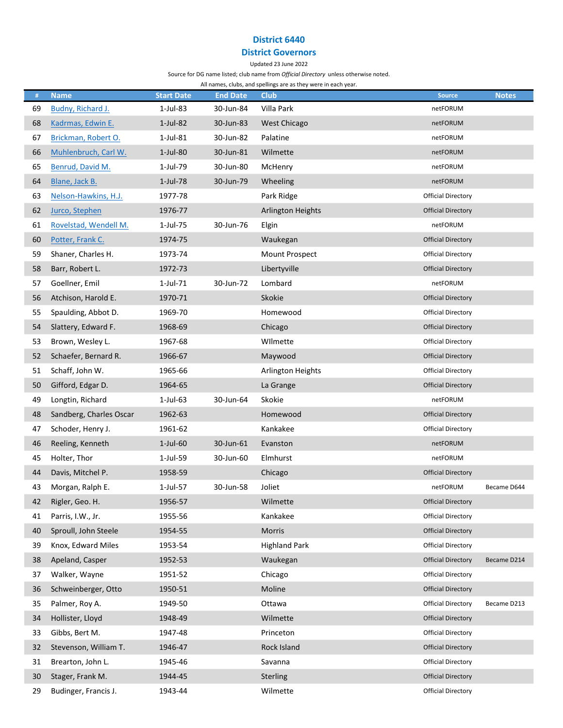## District 6440

# District Governors

### Updated 23 June 2022

Source for DG name listed; club name from Official Directory unless otherwise noted.

All names, clubs, and spellings are as they were in each year.

| #  | <b>Name</b>             | <b>Start Date</b> | <b>End Date</b> | <b>Club</b>           | <b>Source</b>             | <b>Notes</b> |
|----|-------------------------|-------------------|-----------------|-----------------------|---------------------------|--------------|
| 69 | Budny, Richard J.       | $1-Jul-83$        | 30-Jun-84       | Villa Park            | netFORUM                  |              |
| 68 | Kadrmas, Edwin E.       | $1-Jul-82$        | 30-Jun-83       | <b>West Chicago</b>   | netFORUM                  |              |
| 67 | Brickman, Robert O.     | $1$ -Jul-81       | 30-Jun-82       | Palatine              | netFORUM                  |              |
| 66 | Muhlenbruch, Carl W.    | $1-Jul-80$        | 30-Jun-81       | Wilmette              | netFORUM                  |              |
| 65 | Benrud, David M.        | 1-Jul-79          | 30-Jun-80       | McHenry               | netFORUM                  |              |
| 64 | Blane, Jack B.          | $1$ -Jul-78       | 30-Jun-79       | Wheeling              | netFORUM                  |              |
| 63 | Nelson-Hawkins, H.J.    | 1977-78           |                 | Park Ridge            | <b>Official Directory</b> |              |
| 62 | Jurco, Stephen          | 1976-77           |                 | Arlington Heights     | <b>Official Directory</b> |              |
| 61 | Rovelstad, Wendell M.   | 1-Jul-75          | 30-Jun-76       | Elgin                 | netFORUM                  |              |
| 60 | Potter, Frank C.        | 1974-75           |                 | Waukegan              | <b>Official Directory</b> |              |
| 59 | Shaner, Charles H.      | 1973-74           |                 | <b>Mount Prospect</b> | <b>Official Directory</b> |              |
| 58 | Barr, Robert L.         | 1972-73           |                 | Libertyville          | <b>Official Directory</b> |              |
| 57 | Goellner, Emil          | $1$ -Jul-71       | 30-Jun-72       | Lombard               | netFORUM                  |              |
| 56 | Atchison, Harold E.     | 1970-71           |                 | Skokie                | <b>Official Directory</b> |              |
| 55 | Spaulding, Abbot D.     | 1969-70           |                 | Homewood              | <b>Official Directory</b> |              |
| 54 | Slattery, Edward F.     | 1968-69           |                 | Chicago               | <b>Official Directory</b> |              |
| 53 | Brown, Wesley L.        | 1967-68           |                 | Wilmette              | <b>Official Directory</b> |              |
| 52 | Schaefer, Bernard R.    | 1966-67           |                 | Maywood               | <b>Official Directory</b> |              |
| 51 | Schaff, John W.         | 1965-66           |                 | Arlington Heights     | <b>Official Directory</b> |              |
| 50 | Gifford, Edgar D.       | 1964-65           |                 | La Grange             | <b>Official Directory</b> |              |
| 49 | Longtin, Richard        | $1$ -Jul-63       | 30-Jun-64       | Skokie                | netFORUM                  |              |
| 48 | Sandberg, Charles Oscar | 1962-63           |                 | Homewood              | <b>Official Directory</b> |              |
| 47 | Schoder, Henry J.       | 1961-62           |                 | Kankakee              | <b>Official Directory</b> |              |
| 46 | Reeling, Kenneth        | 1-Jul-60          | 30-Jun-61       | Evanston              | netFORUM                  |              |
| 45 | Holter, Thor            | $1$ -Jul-59       | 30-Jun-60       | Elmhurst              | netFORUM                  |              |
| 44 | Davis, Mitchel P.       | 1958-59           |                 | Chicago               | <b>Official Directory</b> |              |
| 43 | Morgan, Ralph E.        | 1-Jul-57          | 30-Jun-58       | Joliet                | netFORUM                  | Became D644  |
| 42 | Rigler, Geo. H.         | 1956-57           |                 | Wilmette              | <b>Official Directory</b> |              |
| 41 | Parris, I.W., Jr.       | 1955-56           |                 | Kankakee              | Official Directory        |              |
| 40 | Sproull, John Steele    | 1954-55           |                 | Morris                | <b>Official Directory</b> |              |
| 39 | Knox, Edward Miles      | 1953-54           |                 | <b>Highland Park</b>  | Official Directory        |              |
| 38 | Apeland, Casper         | 1952-53           |                 | Waukegan              | <b>Official Directory</b> | Became D214  |
| 37 | Walker, Wayne           | 1951-52           |                 | Chicago               | <b>Official Directory</b> |              |
| 36 | Schweinberger, Otto     | 1950-51           |                 | Moline                | <b>Official Directory</b> |              |
| 35 | Palmer, Roy A.          | 1949-50           |                 | Ottawa                | <b>Official Directory</b> | Became D213  |
| 34 | Hollister, Lloyd        | 1948-49           |                 | Wilmette              | <b>Official Directory</b> |              |
| 33 | Gibbs, Bert M.          | 1947-48           |                 | Princeton             | <b>Official Directory</b> |              |
| 32 | Stevenson, William T.   | 1946-47           |                 | Rock Island           | <b>Official Directory</b> |              |
| 31 | Brearton, John L.       | 1945-46           |                 | Savanna               | <b>Official Directory</b> |              |
| 30 | Stager, Frank M.        | 1944-45           |                 | Sterling              | <b>Official Directory</b> |              |
| 29 | Budinger, Francis J.    | 1943-44           |                 | Wilmette              | <b>Official Directory</b> |              |